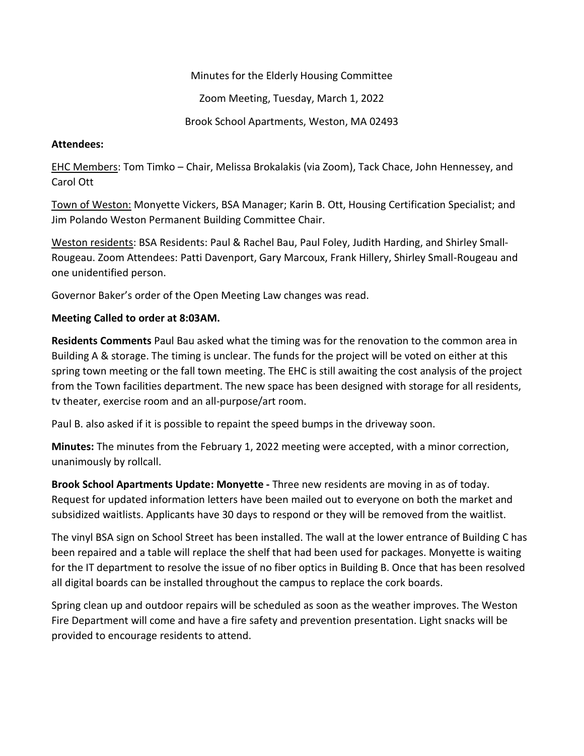Minutes for the Elderly Housing Committee

Zoom Meeting, Tuesday, March 1, 2022

Brook School Apartments, Weston, MA 02493

## **Attendees:**

EHC Members: Tom Timko – Chair, Melissa Brokalakis (via Zoom), Tack Chace, John Hennessey, and Carol Ott

Town of Weston: Monyette Vickers, BSA Manager; Karin B. Ott, Housing Certification Specialist; and Jim Polando Weston Permanent Building Committee Chair.

Weston residents: BSA Residents: Paul & Rachel Bau, Paul Foley, Judith Harding, and Shirley Small-Rougeau. Zoom Attendees: Patti Davenport, Gary Marcoux, Frank Hillery, Shirley Small-Rougeau and one unidentified person.

Governor Baker's order of the Open Meeting Law changes was read.

## **Meeting Called to order at 8:03AM.**

**Residents Comments** Paul Bau asked what the timing was for the renovation to the common area in Building A & storage. The timing is unclear. The funds for the project will be voted on either at this spring town meeting or the fall town meeting. The EHC is still awaiting the cost analysis of the project from the Town facilities department. The new space has been designed with storage for all residents, tv theater, exercise room and an all-purpose/art room.

Paul B. also asked if it is possible to repaint the speed bumps in the driveway soon.

**Minutes:** The minutes from the February 1, 2022 meeting were accepted, with a minor correction, unanimously by rollcall.

**Brook School Apartments Update: Monyette -** Three new residents are moving in as of today. Request for updated information letters have been mailed out to everyone on both the market and subsidized waitlists. Applicants have 30 days to respond or they will be removed from the waitlist.

The vinyl BSA sign on School Street has been installed. The wall at the lower entrance of Building C has been repaired and a table will replace the shelf that had been used for packages. Monyette is waiting for the IT department to resolve the issue of no fiber optics in Building B. Once that has been resolved all digital boards can be installed throughout the campus to replace the cork boards.

Spring clean up and outdoor repairs will be scheduled as soon as the weather improves. The Weston Fire Department will come and have a fire safety and prevention presentation. Light snacks will be provided to encourage residents to attend.